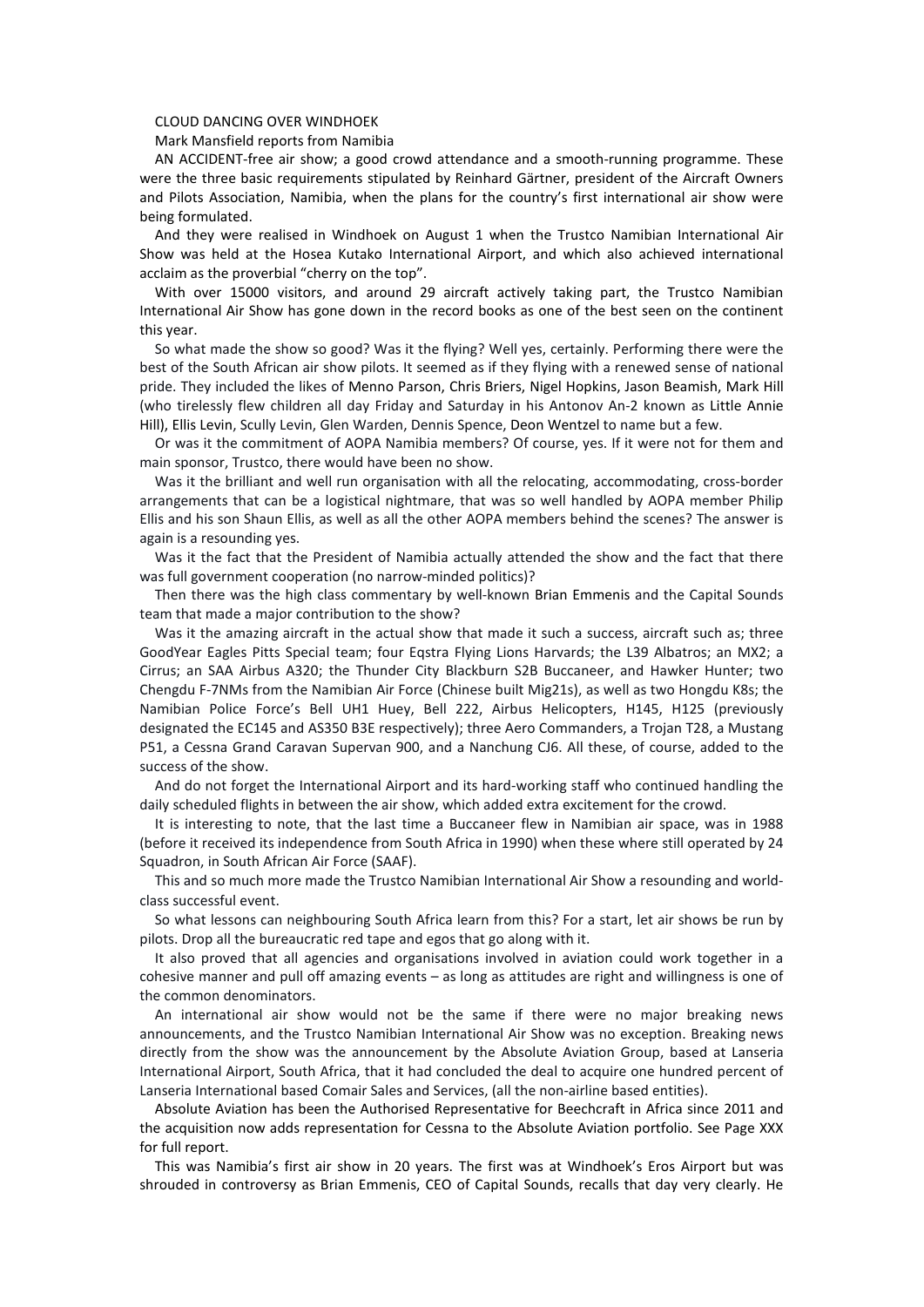## CLOUD DANCING OVER WINDHOEK

Mark Mansfield reports from Namibia

AN ACCIDENT-free air show; a good crowd attendance and a smooth-running programme. These were the three basic requirements stipulated by Reinhard Gärtner, president of the Aircraft Owners and Pilots Association, Namibia, when the plans for the country's first international air show were being formulated.

And they were realised in Windhoek on August 1 when the Trustco Namibian International Air Show was held at the Hosea Kutako International Airport, and which also achieved international acclaim as the proverbial "cherry on the top".

With over 15000 visitors, and around 29 aircraft actively taking part, the Trustco Namibian International Air Show has gone down in the record books as one of the best seen on the continent this year.

So what made the show so good? Was it the flying? Well yes, certainly. Performing there were the best of the South African air show pilots. It seemed as if they flying with a renewed sense of national pride. They included the likes of Menno Parson, Chris Briers, Nigel Hopkins, Jason Beamish, Mark Hill (who tirelessly flew children all day Friday and Saturday in his Antonov An-2 known as Little Annie Hill), Ellis Levin, Scully Levin, Glen Warden, Dennis Spence, Deon Wentzel to name but a few.

Or was it the commitment of AOPA Namibia members? Of course, yes. If it were not for them and main sponsor, Trustco, there would have been no show.

Was it the brilliant and well run organisation with all the relocating, accommodating, cross-border arrangements that can be a logistical nightmare, that was so well handled by AOPA member Philip Ellis and his son Shaun Ellis, as well as all the other AOPA members behind the scenes? The answer is again is a resounding yes.

Was it the fact that the President of Namibia actually attended the show and the fact that there was full government cooperation (no narrow-minded politics)?

Then there was the high class commentary by well-known Brian Emmenis and the Capital Sounds team that made a major contribution to the show?

Was it the amazing aircraft in the actual show that made it such a success, aircraft such as; three GoodYear Eagles Pitts Special team; four Eqstra Flying Lions Harvards; the L39 Albatros; an MX2; a Cirrus; an SAA Airbus A320; the Thunder City Blackburn S2B Buccaneer, and Hawker Hunter; two Chengdu F-7NMs from the Namibian Air Force (Chinese built Mig21s), as well as two Hongdu K8s; the Namibian Police Force's Bell UH1 Huey, Bell 222, Airbus Helicopters, H145, H125 (previously designated the EC145 and AS350 B3E respectively); three Aero Commanders, a Trojan T28, a Mustang P51, a Cessna Grand Caravan Supervan 900, and a Nanchung CJ6. All these, of course, added to the success of the show.

And do not forget the International Airport and its hard-working staff who continued handling the daily scheduled flights in between the air show, which added extra excitement for the crowd.

It is interesting to note, that the last time a Buccaneer flew in Namibian air space, was in 1988 (before it received its independence from South Africa in 1990) when these where still operated by 24 Squadron, in South African Air Force (SAAF).

This and so much more made the Trustco Namibian International Air Show a resounding and worldclass successful event.

So what lessons can neighbouring South Africa learn from this? For a start, let air shows be run by pilots. Drop all the bureaucratic red tape and egos that go along with it.

It also proved that all agencies and organisations involved in aviation could work together in a cohesive manner and pull off amazing events – as long as attitudes are right and willingness is one of the common denominators.

An international air show would not be the same if there were no major breaking news announcements, and the Trustco Namibian International Air Show was no exception. Breaking news directly from the show was the announcement by the Absolute Aviation Group, based at Lanseria International Airport, South Africa, that it had concluded the deal to acquire one hundred percent of Lanseria International based Comair Sales and Services, (all the non-airline based entities).

Absolute Aviation has been the Authorised Representative for Beechcraft in Africa since 2011 and the acquisition now adds representation for Cessna to the Absolute Aviation portfolio. See Page XXX for full report.

This was Namibia's first air show in 20 years. The first was at Windhoek's Eros Airport but was shrouded in controversy as Brian Emmenis, CEO of Capital Sounds, recalls that day very clearly. He